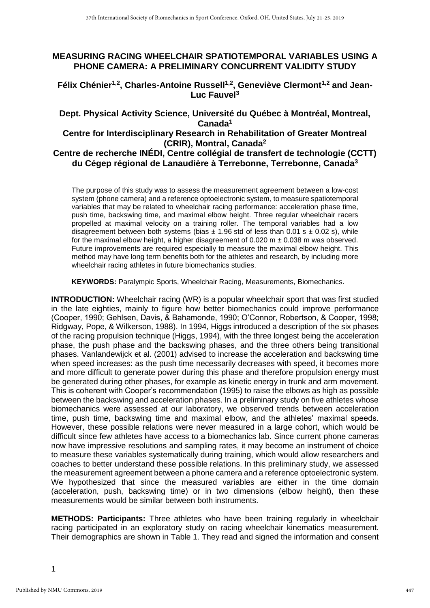### **MEASURING RACING WHEELCHAIR SPATIOTEMPORAL VARIABLES USING A PHONE CAMERA: A PRELIMINARY CONCURRENT VALIDITY STUDY**

**Félix Chénier1,2, Charles-Antoine Russell1,2 , Geneviève Clermont1,2 and Jean-Luc Fauvel<sup>3</sup>**

# **Dept. Physical Activity Science, Université du Québec à Montréal, Montreal, Canada<sup>1</sup>**

## **Centre for Interdisciplinary Research in Rehabilitation of Greater Montreal (CRIR), Montral, Canada<sup>2</sup>**

#### **Centre de recherche INÉDI, Centre collégial de transfert de technologie (CCTT) du Cégep régional de Lanaudière à Terrebonne, Terrebonne, Canada<sup>3</sup>**

The purpose of this study was to assess the measurement agreement between a low-cost system (phone camera) and a reference optoelectronic system, to measure spatiotemporal variables that may be related to wheelchair racing performance: acceleration phase time, push time, backswing time, and maximal elbow height. Three regular wheelchair racers propelled at maximal velocity on a training roller. The temporal variables had a low disagreement between both systems (bias  $\pm$  1.96 std of less than 0.01 s  $\pm$  0.02 s), while for the maximal elbow height, a higher disagreement of  $0.020 \text{ m } \pm 0.038 \text{ m}$  was observed. Future improvements are required especially to measure the maximal elbow height. This method may have long term benefits both for the athletes and research, by including more wheelchair racing athletes in future biomechanics studies.

**KEYWORDS:** Paralympic Sports, Wheelchair Racing, Measurements, Biomechanics.

**INTRODUCTION:** Wheelchair racing (WR) is a popular wheelchair sport that was first studied in the late eighties, mainly to figure how better biomechanics could improve performance (Cooper, 1990; Gehlsen, Davis, & Bahamonde, 1990; O'Connor, Robertson, & Cooper, 1998; Ridgway, Pope, & Wilkerson, 1988). In 1994, Higgs introduced a description of the six phases of the racing propulsion technique (Higgs, 1994), with the three longest being the acceleration phase, the push phase and the backswing phases, and the three others being transitional phases. Vanlandewijck et al. (2001) advised to increase the acceleration and backswing time when speed increases: as the push time necessarily decreases with speed, it becomes more and more difficult to generate power during this phase and therefore propulsion energy must be generated during other phases, for example as kinetic energy in trunk and arm movement. This is coherent with Cooper's recommendation (1995) to raise the elbows as high as possible between the backswing and acceleration phases. In a preliminary study on five athletes whose biomechanics were assessed at our laboratory, we observed trends between acceleration time, push time, backswing time and maximal elbow, and the athletes' maximal speeds. However, these possible relations were never measured in a large cohort, which would be difficult since few athletes have access to a biomechanics lab. Since current phone cameras now have impressive resolutions and sampling rates, it may become an instrument of choice to measure these variables systematically during training, which would allow researchers and coaches to better understand these possible relations. In this preliminary study, we assessed the measurement agreement between a phone camera and a reference optoelectronic system. We hypothesized that since the measured variables are either in the time domain (acceleration, push, backswing time) or in two dimensions (elbow height), then these measurements would be similar between both instruments.

**METHODS: Participants:** Three athletes who have been training regularly in wheelchair racing participated in an exploratory study on racing wheelchair kinematics measurement. Their demographics are shown in Table [1.](#page-1-0) They read and signed the information and consent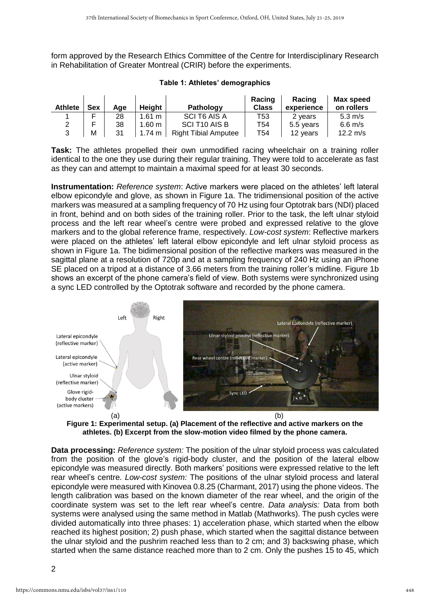form approved by the Research Ethics Committee of the Centre for Interdisciplinary Research in Rehabilitation of Greater Montreal (CRIR) before the experiments.

| <b>Athlete</b> | Sex | Aae | Height           | Pathology                   | Racing<br><b>Class</b> | Racing<br>experience | Max speed<br>on rollers |
|----------------|-----|-----|------------------|-----------------------------|------------------------|----------------------|-------------------------|
|                |     | 28  | $1.61 \text{ m}$ | SCI T6 AIS A                | T53                    | 2 years              | $5.3 \text{ m/s}$       |
|                |     | 38  | $1.60 \text{ m}$ | SCI T <sub>10</sub> AIS B   | T54                    | 5.5 years            | $6.6$ m/s               |
|                | м   | 31  | 1.74 $m$         | <b>Right Tibial Amputee</b> | T54                    | 12 years             | 12.2 $m/s$              |

<span id="page-1-0"></span>

| Table 1: Athletes' demographics |  |  |
|---------------------------------|--|--|
|---------------------------------|--|--|

**Task:** The athletes propelled their own unmodified racing wheelchair on a training roller identical to the one they use during their regular training. They were told to accelerate as fast as they can and attempt to maintain a maximal speed for at least 30 seconds.

**Instrumentation:** *Reference system*: Active markers were placed on the athletes' left lateral elbow epicondyle and glove, as shown in Figure [1a](#page-1-1). The tridimensional position of the active markers was measured at a sampling frequency of 70 Hz using four Optotrak bars (NDI) placed in front, behind and on both sides of the training roller. Prior to the task, the left ulnar styloid process and the left rear wheel's centre were probed and expressed relative to the glove markers and to the global reference frame, respectively. *Low-cost system*: Reflective markers were placed on the athletes' left lateral elbow epicondyle and left ulnar styloid process as shown in Figure [1a](#page-1-1). The bidimensional position of the reflective markers was measured in the sagittal plane at a resolution of 720p and at a sampling frequency of 240 Hz using an iPhone SE placed on a tripod at a distance of 3.66 meters from the training roller's midline. Figure [1b](#page-1-1) shows an excerpt of the phone camera's field of view. Both systems were synchronized using a sync LED controlled by the Optotrak software and recorded by the phone camera.



<span id="page-1-1"></span>**Figure 1: Experimental setup. (a) Placement of the reflective and active markers on the athletes. (b) Excerpt from the slow-motion video filmed by the phone camera.**

**Data processing:** *Reference system:* The position of the ulnar styloid process was calculated from the position of the glove's rigid-body cluster, and the position of the lateral elbow epicondyle was measured directly. Both markers' positions were expressed relative to the left rear wheel's centre. *Low-cost system:* The positions of the ulnar styloid process and lateral epicondyle were measured with Kinovea 0.8.25 (Charmant, 2017) using the phone videos. The length calibration was based on the known diameter of the rear wheel, and the origin of the coordinate system was set to the left rear wheel's centre. *Data analysis:* Data from both systems were analysed using the same method in Matlab (Mathworks). The push cycles were divided automatically into three phases: 1) acceleration phase, which started when the elbow reached its highest position; 2) push phase, which started when the sagittal distance between the ulnar styloid and the pushrim reached less than to 2 cm; and 3) backswing phase, which started when the same distance reached more than to 2 cm. Only the pushes 15 to 45, which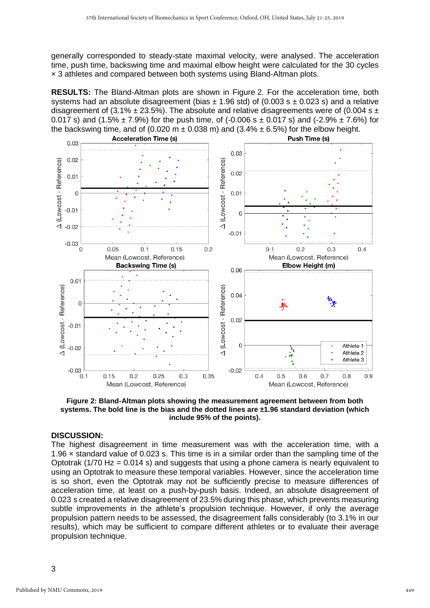generally corresponded to steady-state maximal velocity, were analysed. The acceleration time, push time, backswing time and maximal elbow height were calculated for the 30 cycles × 3 athletes and compared between both systems using Bland-Altman plots.

**RESULTS:** The Bland-Altman plots are shown in Figure [2.](#page-2-0) For the acceleration time, both systems had an absolute disagreement (bias  $\pm$  1.96 std) of (0.003 s  $\pm$  0.023 s) and a relative disagreement of (3.1%  $\pm$  23.5%). The absolute and relative disagreements were of (0.004 s  $\pm$ 0.017 s) and  $(1.5\% \pm 7.9\%)$  for the push time, of  $(-0.006 \text{ s } \pm 0.017 \text{ s})$  and  $(-2.9\% \pm 7.6\%)$  for the backswing time, and of (0.020 m  $\pm$  0.038 m) and (3.4%  $\pm$  6.5%) for the elbow height.



<span id="page-2-0"></span>**Figure 2: Bland-Altman plots showing the measurement agreement between from both systems. The bold line is the bias and the dotted lines are ±1.96 standard deviation (which include 95% of the points).**

#### **DISCUSSION:**

The highest disagreement in time measurement was with the acceleration time, with a 1.96 × standard value of 0.023 s. This time is in a similar order than the sampling time of the Optotrak ( $1/70$  Hz = 0.014 s) and suggests that using a phone camera is nearly equivalent to using an Optotrak to measure these temporal variables. However, since the acceleration time is so short, even the Optotrak may not be sufficiently precise to measure differences of acceleration time, at least on a push-by-push basis. Indeed, an absolute disagreement of 0.023 s created a relative disagreement of 23.5% during this phase, which prevents measuring subtle improvements in the athlete's propulsion technique. However, if only the average propulsion pattern needs to be assessed, the disagreement falls considerably (to 3.1% in our results), which may be sufficient to compare different athletes or to evaluate their average propulsion technique.